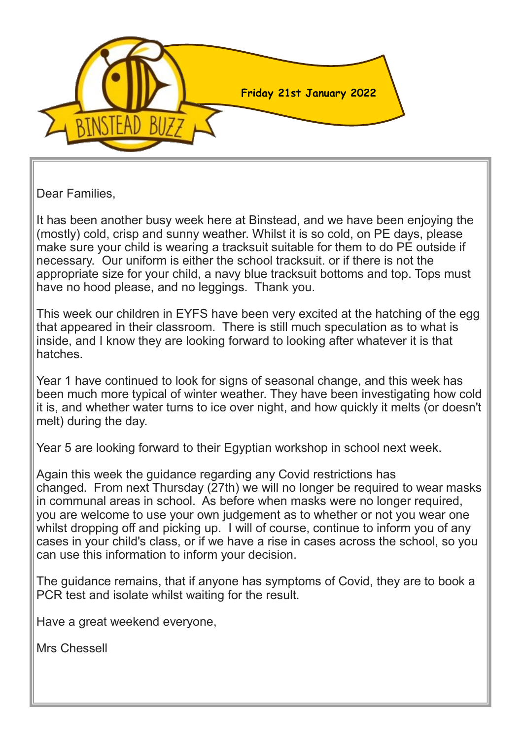

Dear Families,

It has been another busy week here at Binstead, and we have been enjoying the (mostly) cold, crisp and sunny weather. Whilst it is so cold, on PE days, please make sure your child is wearing a tracksuit suitable for them to do PE outside if necessary. Our uniform is either the school tracksuit. or if there is not the appropriate size for your child, a navy blue tracksuit bottoms and top. Tops must have no hood please, and no leggings. Thank you.

This week our children in EYFS have been very excited at the hatching of the egg that appeared in their classroom. There is still much speculation as to what is inside, and I know they are looking forward to looking after whatever it is that hatches.

Year 1 have continued to look for signs of seasonal change, and this week has been much more typical of winter weather. They have been investigating how cold it is, and whether water turns to ice over night, and how quickly it melts (or doesn't melt) during the day.

Year 5 are looking forward to their Egyptian workshop in school next week.

Again this week the guidance regarding any Covid restrictions has changed. From next Thursday (27th) we will no longer be required to wear masks in communal areas in school. As before when masks were no longer required, you are welcome to use your own judgement as to whether or not you wear one whilst dropping off and picking up. I will of course, continue to inform you of any cases in your child's class, or if we have a rise in cases across the school, so you can use this information to inform your decision.

The guidance remains, that if anyone has symptoms of Covid, they are to book a PCR test and isolate whilst waiting for the result.

Have a great weekend everyone,

Mrs Chessell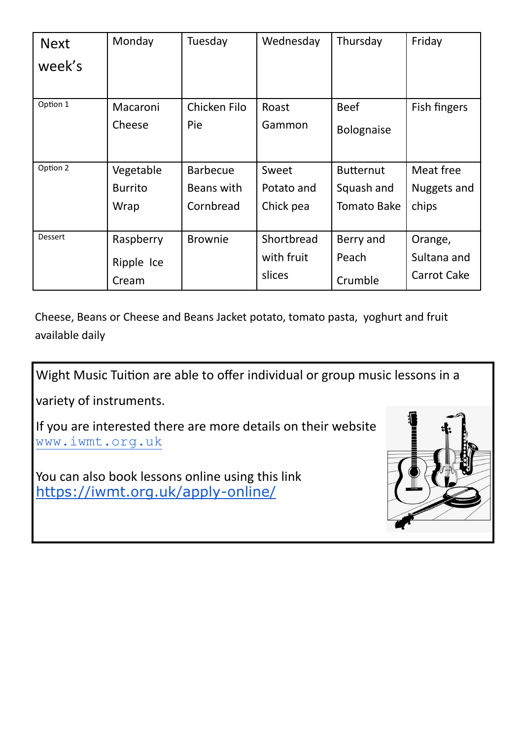| <b>Next</b>    | Monday         | Tuesday         | Wednesday  | Thursday           | Friday       |
|----------------|----------------|-----------------|------------|--------------------|--------------|
| week's         |                |                 |            |                    |              |
|                |                |                 |            |                    |              |
| Option 1       | Macaroni       | Chicken Filo    | Roast      | <b>Beef</b>        | Fish fingers |
|                | Cheese         | Pie             | Gammon     | <b>Bolognaise</b>  |              |
|                |                |                 |            |                    |              |
| Option 2       | Vegetable      | <b>Barbecue</b> | Sweet      | <b>Butternut</b>   | Meat free    |
|                | <b>Burrito</b> | Beans with      | Potato and | Squash and         | Nuggets and  |
|                | Wrap           | Cornbread       | Chick pea  | <b>Tomato Bake</b> | chips        |
|                |                |                 |            |                    |              |
| <b>Dessert</b> | Raspberry      | <b>Brownie</b>  | Shortbread | Berry and          | Orange,      |
|                | Ripple Ice     |                 | with fruit | Peach              | Sultana and  |
|                | Cream          |                 | slices     | Crumble            | Carrot Cake  |

Cheese, Beans or Cheese and Beans Jacket potato, tomato pasta, yoghurt and fruit available daily

Wight Music Tuition are able to offer individual or group music lessons in a

variety of instruments.

If you are interested there are more details on their website [www.iwmt.org.uk](http://www.iwmt.org.uk/)

You can also book lessons online using this link [https://iwmt.org.uk/apply](https://iwmt.org.uk/apply-online/)-online/

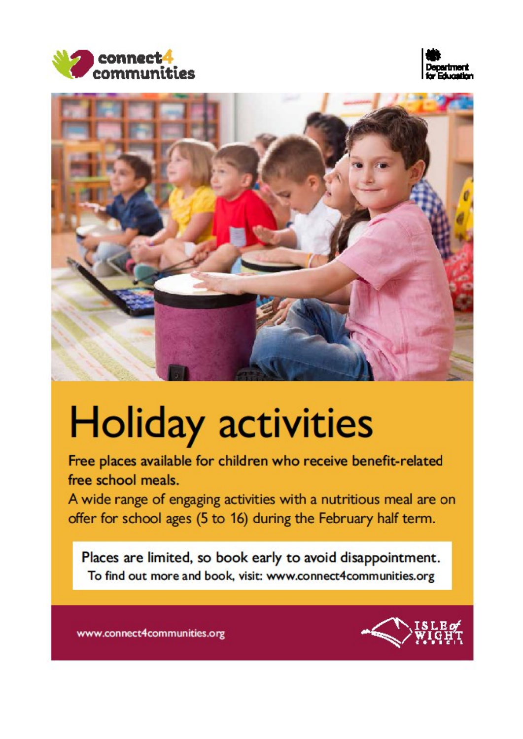





## **Holiday activities**

Free places available for children who receive benefit-related free school meals.

A wide range of engaging activities with a nutritious meal are on offer for school ages (5 to 16) during the February half term.

Places are limited, so book early to avoid disappointment. To find out more and book, visit: www.connect4communities.org



www.connect4communities.org